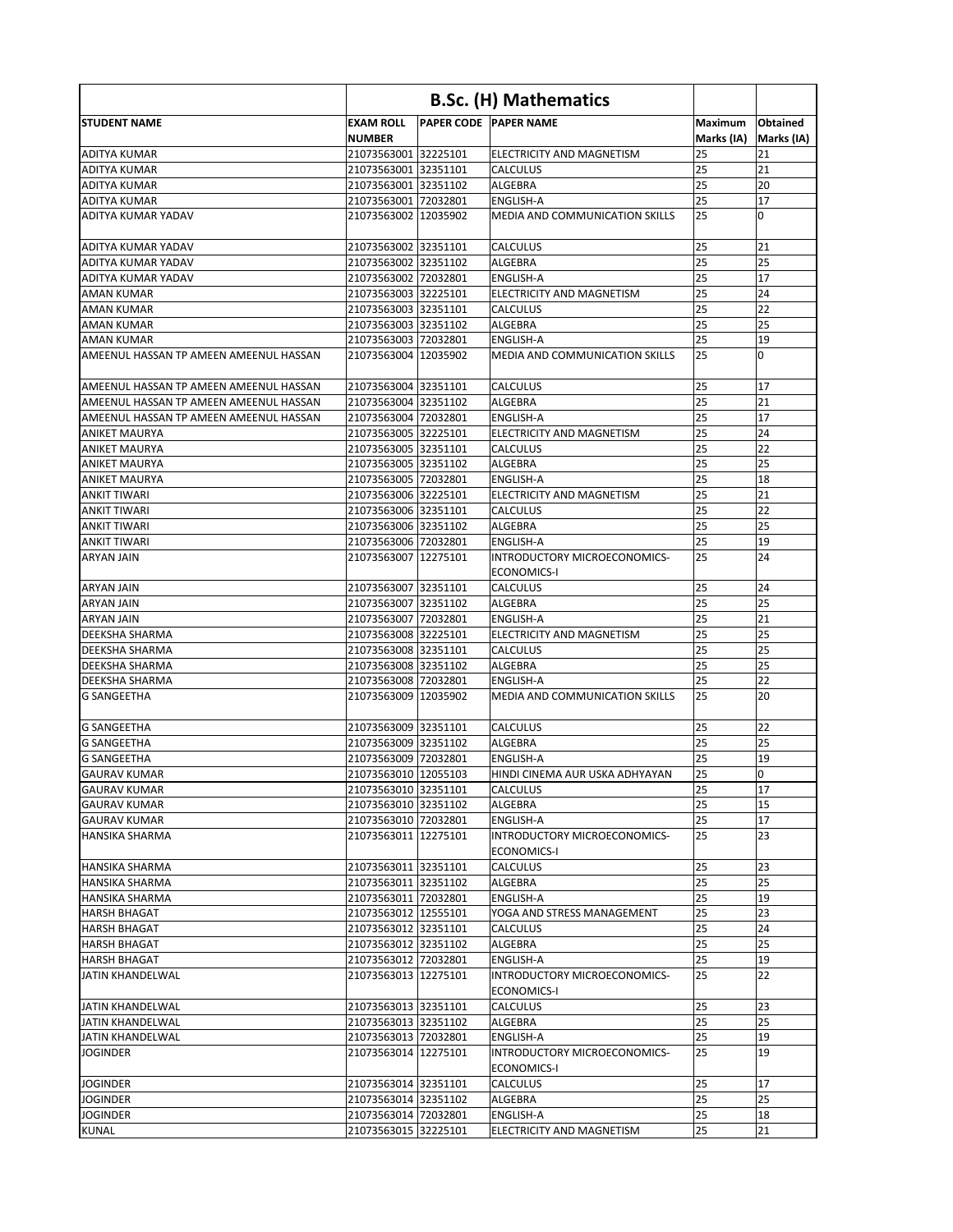|                                         | <b>B.Sc. (H) Mathematics</b>      |  |                                                    |                              |                        |
|-----------------------------------------|-----------------------------------|--|----------------------------------------------------|------------------------------|------------------------|
| <b>STUDENT NAME</b>                     | <b>EXAM ROLL</b><br><b>NUMBER</b> |  | <b>PAPER CODE PAPER NAME</b>                       | <b>Maximum</b><br>Marks (IA) | Obtained<br>Marks (IA) |
| <b>ADITYA KUMAR</b>                     | 21073563001 32225101              |  | ELECTRICITY AND MAGNETISM                          | 25                           | 21                     |
| ADITYA KUMAR                            | 21073563001 32351101              |  | <b>CALCULUS</b>                                    | 25                           | 21                     |
| ADITYA KUMAR                            | 21073563001 32351102              |  | <b>ALGEBRA</b>                                     | 25                           | 20                     |
| <b>JADITYA KUMAR</b>                    | 21073563001 72032801              |  | <b>ENGLISH-A</b>                                   | 25                           | 17                     |
| ADITYA KUMAR YADAV                      | 21073563002 12035902              |  | <b>MEDIA AND COMMUNICATION SKILLS</b>              | 25                           | $\overline{0}$         |
| <b>ADITYA KUMAR YADAV</b>               | 21073563002 32351101              |  | <b>CALCULUS</b>                                    | 25                           | 21                     |
| ADITYA KUMAR YADAV                      | 21073563002 32351102              |  | <b>ALGEBRA</b>                                     | 25                           | 25                     |
| ADITYA KUMAR YADAV                      | 21073563002 72032801              |  | <b>ENGLISH-A</b>                                   | 25                           | 17                     |
| <b>AMAN KUMAR</b>                       | 21073563003 32225101              |  | <b>ELECTRICITY AND MAGNETISM</b>                   | 25                           | 24                     |
| <b>AMAN KUMAR</b>                       | 21073563003 32351101              |  | <b>CALCULUS</b>                                    | 25                           | 22                     |
| <b>JAMAN KUMAR</b>                      | 21073563003 32351102              |  | <b>ALGEBRA</b>                                     | 25                           | 25                     |
| IAMAN KUMAR                             | 21073563003 72032801              |  | <b>ENGLISH-A</b>                                   | 25                           | 19                     |
| lAMEENUL HASSAN TP AMEEN AMEENUL HASSAN | 21073563004 12035902              |  | <b>MEDIA AND COMMUNICATION SKILLS</b>              | 25                           | $\Omega$               |
| AMEENUL HASSAN TP AMEEN AMEENUL HASSAN  | 21073563004 32351101              |  | <b>CALCULUS</b>                                    | 25                           | 17                     |
| JAMEENUL HASSAN TP AMEEN AMEENUL HASSAN | 21073563004 32351102              |  | <b>ALGEBRA</b>                                     | 25                           | 21                     |
| AMEENUL HASSAN TP AMEEN AMEENUL HASSAN  | 21073563004 72032801              |  | <b>ENGLISH-A</b>                                   | 25                           | 17                     |
| IANIKET MAURYA                          | 21073563005 32225101              |  | ELECTRICITY AND MAGNETISM                          | 25                           | 24                     |
| ANIKET MAURYA                           | 21073563005 32351101              |  | <b>CALCULUS</b>                                    | 25                           | 22                     |
| ANIKET MAURYA                           | 21073563005 32351102              |  | <b>ALGEBRA</b>                                     | 25                           | 25                     |
| ANIKET MAURYA                           | 21073563005 72032801              |  | <b>ENGLISH-A</b>                                   | 25                           | 18                     |
| <b>ANKIT TIWARI</b>                     | 21073563006 32225101              |  | ELECTRICITY AND MAGNETISM                          | 25                           | 21                     |
| IANKIT TIWARI                           | 21073563006 32351101              |  | <b>CALCULUS</b>                                    | 25                           | 22                     |
| <b>ANKIT TIWARI</b>                     | 21073563006 32351102              |  | <b>ALGEBRA</b>                                     | 25                           | 25                     |
| <b>ANKIT TIWARI</b>                     | 21073563006 72032801              |  | <b>ENGLISH-A</b>                                   | 25                           | 19                     |
| <b>ARYAN JAIN</b>                       | 21073563007 12275101              |  | INTRODUCTORY MICROECONOMICS-<br><b>ECONOMICS-I</b> | 25                           | 24                     |
| ARYAN JAIN                              | 21073563007 32351101              |  | <b>CALCULUS</b>                                    | 25                           | 24                     |
| ARYAN JAIN                              | 21073563007 32351102              |  | <b>ALGEBRA</b>                                     | 25                           | 25                     |
| ARYAN JAIN                              | 21073563007 72032801              |  | <b>ENGLISH-A</b>                                   | 25                           | 21                     |
| DEEKSHA SHARMA                          | 21073563008 32225101              |  | ELECTRICITY AND MAGNETISM                          | 25                           | 25                     |
| DEEKSHA SHARMA                          | 21073563008 32351101              |  | <b>CALCULUS</b>                                    | 25                           | 25                     |
| <b>DEEKSHA SHARMA</b>                   | 21073563008 32351102              |  | <b>ALGEBRA</b>                                     | 25                           | 25                     |
| <b>DEEKSHA SHARMA</b>                   | 21073563008 72032801              |  | ENGLISH-A                                          | 25                           | 22                     |
| IG SANGEETHA                            | 21073563009 12035902              |  | MEDIA AND COMMUNICATION SKILLS                     | 25                           | 20                     |
| IG SANGEETHA                            | 21073563009 32351101              |  | <b>CALCULUS</b>                                    | 25                           | 22                     |
| <b>IG SANGEETHA</b>                     | 21073563009 32351102              |  | <b>ALGEBRA</b>                                     | 25                           | 25                     |
| IG SANGEETHA                            | 21073563009 72032801              |  | ENGLISH-A                                          | 25                           | 19                     |
| IGAURAV KUMAR                           | 21073563010 12055103              |  | HINDI CINEMA AUR USKA ADHYAYAN                     | 25                           | 0                      |
| <b>I</b> GAURAV KUMAR                   | 21073563010 32351101              |  | <b>CALCULUS</b>                                    | 25                           | 17                     |
| <b> </b> GAURAV KUMAR                   | 21073563010 32351102              |  | ALGEBRA                                            | 25                           | 15                     |
| <b>I</b> GAURAV KUMAR                   | 21073563010 72032801              |  | <b>ENGLISH-A</b>                                   | 25                           | 17                     |
| HANSIKA SHARMA                          | 21073563011 12275101              |  | INTRODUCTORY MICROECONOMICS-<br><b>ECONOMICS-I</b> | 25                           | 23                     |
| <b>HANSIKA SHARMA</b>                   | 21073563011 32351101              |  | <b>CALCULUS</b>                                    | 25                           | 23                     |
| IHANSIKA SHARMA                         | 21073563011 32351102              |  | ALGEBRA                                            | 25                           | 25                     |
| IHANSIKA SHARMA                         | 21073563011 72032801              |  | ENGLISH-A                                          | 25                           | 19                     |
| <b>HARSH BHAGAT</b>                     | 21073563012 12555101              |  | YOGA AND STRESS MANAGEMENT                         | 25                           | 23                     |
| IHARSH BHAGAT                           | 21073563012 32351101              |  | <b>CALCULUS</b>                                    | 25                           | 24                     |
| <b>I</b> HARSH BHAGAT                   | 21073563012 32351102              |  | <b>ALGEBRA</b>                                     | 25                           | 25                     |
| <b>HARSH BHAGAT</b>                     | 21073563012 72032801              |  | <b>ENGLISH-A</b>                                   | 25                           | 19                     |
| JATIN KHANDELWAL                        | 21073563013 12275101              |  | INTRODUCTORY MICROECONOMICS-<br><b>ECONOMICS-I</b> | 25                           | 22                     |
| JATIN KHANDELWAL                        | 21073563013 32351101              |  | <b>CALCULUS</b>                                    | 25                           | 23                     |
| IJATIN KHANDELWAL                       | 21073563013 32351102              |  | <b>ALGEBRA</b>                                     | 25                           | 25                     |
| JATIN KHANDELWAL                        | 21073563013 72032801              |  | <b>ENGLISH-A</b>                                   | 25                           | 19                     |
| <b>JOGINDER</b>                         | 21073563014 12275101              |  | INTRODUCTORY MICROECONOMICS-                       | 25                           | 19                     |
|                                         |                                   |  | <b>ECONOMICS-I</b>                                 |                              |                        |
| <b>JOGINDER</b>                         | 21073563014 32351101              |  | <b>CALCULUS</b>                                    | 25                           | 17                     |
| <b>JOGINDER</b>                         | 21073563014 32351102              |  | ALGEBRA                                            | 25                           | 25                     |
| <b>JOGINDER</b>                         | 21073563014 72032801              |  | <b>ENGLISH-A</b>                                   | 25                           | 18                     |
| KUNAL                                   | 21073563015 32225101              |  | ELECTRICITY AND MAGNETISM                          | 25                           | 21                     |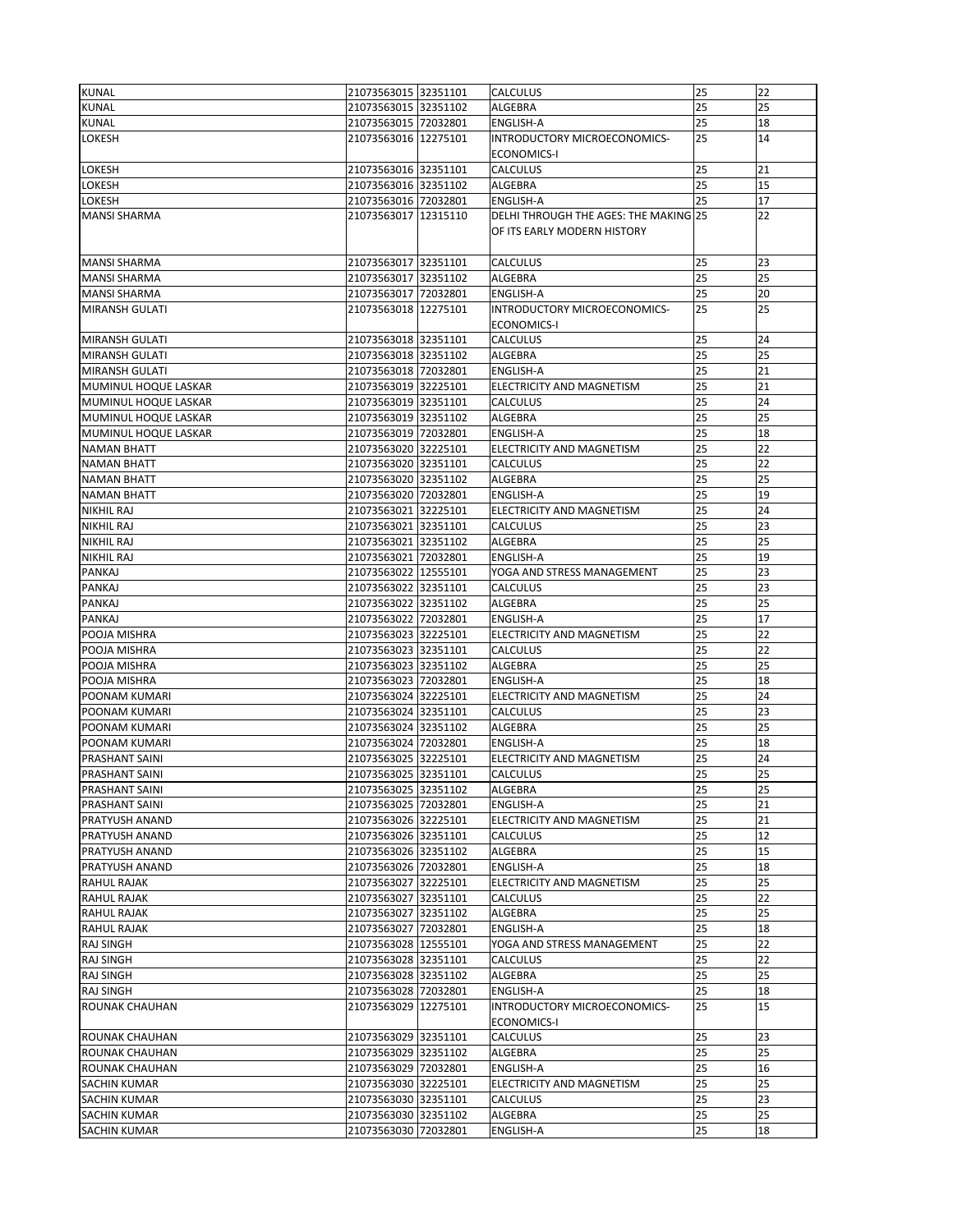| <b>KUNAL</b>          | 21073563015 32351101 | <b>CALCULUS</b>                       | 25 | 22 |
|-----------------------|----------------------|---------------------------------------|----|----|
|                       | 21073563015 32351102 |                                       | 25 |    |
| <b>KUNAL</b>          |                      | ALGEBRA                               |    | 25 |
| <b>KUNAL</b>          | 21073563015 72032801 | <b>ENGLISH-A</b>                      | 25 | 18 |
| <b>LOKESH</b>         | 21073563016 12275101 | INTRODUCTORY MICROECONOMICS-          | 25 | 14 |
|                       |                      | <b>ECONOMICS-I</b>                    |    |    |
| LOKESH                | 21073563016 32351101 | <b>CALCULUS</b>                       | 25 | 21 |
| LOKESH                | 21073563016 32351102 | ALGEBRA                               | 25 | 15 |
| LOKESH                | 21073563016 72032801 | <b>ENGLISH-A</b>                      | 25 | 17 |
| <b>MANSI SHARMA</b>   | 21073563017 12315110 | DELHI THROUGH THE AGES: THE MAKING 25 |    | 22 |
|                       |                      |                                       |    |    |
|                       |                      | OF ITS EARLY MODERN HISTORY           |    |    |
|                       |                      |                                       |    |    |
| MANSI SHARMA          | 21073563017 32351101 | <b>CALCULUS</b>                       | 25 | 23 |
| <b>MANSI SHARMA</b>   | 21073563017 32351102 | ALGEBRA                               | 25 | 25 |
| <b>MANSI SHARMA</b>   | 21073563017 72032801 | <b>ENGLISH-A</b>                      | 25 | 20 |
| <b>MIRANSH GULATI</b> | 21073563018 12275101 | INTRODUCTORY MICROECONOMICS-          | 25 | 25 |
|                       |                      | <b>ECONOMICS-I</b>                    |    |    |
| <b>MIRANSH GULATI</b> | 21073563018 32351101 | <b>CALCULUS</b>                       | 25 | 24 |
| <b>MIRANSH GULATI</b> | 21073563018 32351102 | <b>ALGEBRA</b>                        | 25 | 25 |
| <b>MIRANSH GULATI</b> | 21073563018 72032801 | <b>ENGLISH-A</b>                      | 25 | 21 |
|                       |                      |                                       |    |    |
| MUMINUL HOQUE LASKAR  | 21073563019 32225101 | ELECTRICITY AND MAGNETISM             | 25 | 21 |
| MUMINUL HOQUE LASKAR  | 21073563019 32351101 | <b>CALCULUS</b>                       | 25 | 24 |
| MUMINUL HOQUE LASKAR  | 21073563019 32351102 | <b>ALGEBRA</b>                        | 25 | 25 |
| MUMINUL HOQUE LASKAR  | 21073563019 72032801 | <b>ENGLISH-A</b>                      | 25 | 18 |
| <b>NAMAN BHATT</b>    | 21073563020 32225101 | ELECTRICITY AND MAGNETISM             | 25 | 22 |
| <b>NAMAN BHATT</b>    | 21073563020 32351101 | <b>CALCULUS</b>                       | 25 | 22 |
| <b>NAMAN BHATT</b>    | 21073563020 32351102 | <b>ALGEBRA</b>                        | 25 | 25 |
| <b>NAMAN BHATT</b>    | 21073563020 72032801 | ENGLISH-A                             | 25 | 19 |
| <b>NIKHIL RAJ</b>     | 21073563021 32225101 | ELECTRICITY AND MAGNETISM             | 25 | 24 |
|                       |                      |                                       | 25 | 23 |
| <b>NIKHIL RAJ</b>     | 21073563021 32351101 | <b>CALCULUS</b>                       |    |    |
| <b>NIKHIL RAJ</b>     | 21073563021 32351102 | <b>ALGEBRA</b>                        | 25 | 25 |
| <b>NIKHIL RAJ</b>     | 21073563021 72032801 | <b>ENGLISH-A</b>                      | 25 | 19 |
| <b>PANKAJ</b>         | 21073563022 12555101 | YOGA AND STRESS MANAGEMENT            | 25 | 23 |
| PANKAJ                | 21073563022 32351101 | <b>CALCULUS</b>                       | 25 | 23 |
| PANKAJ                | 21073563022 32351102 | <b>ALGEBRA</b>                        | 25 | 25 |
| PANKAJ                | 21073563022 72032801 | <b>ENGLISH-A</b>                      | 25 | 17 |
| POOJA MISHRA          | 21073563023 32225101 | ELECTRICITY AND MAGNETISM             | 25 | 22 |
| POOJA MISHRA          | 21073563023 32351101 | <b>CALCULUS</b>                       | 25 | 22 |
| POOJA MISHRA          | 21073563023 32351102 | <b>ALGEBRA</b>                        | 25 | 25 |
| POOJA MISHRA          |                      |                                       | 25 | 18 |
|                       | 21073563023 72032801 | <b>ENGLISH-A</b>                      |    |    |
| POONAM KUMARI         | 21073563024 32225101 | ELECTRICITY AND MAGNETISM             | 25 | 24 |
| POONAM KUMARI         | 21073563024 32351101 | <b>CALCULUS</b>                       | 25 | 23 |
| POONAM KUMARI         | 21073563024 32351102 | ALGEBRA                               | 25 | 25 |
| POONAM KUMARI         | 21073563024 72032801 | <b>ENGLISH-A</b>                      | 25 | 18 |
| <b>PRASHANT SAINI</b> | 21073563025 32225101 | ELECTRICITY AND MAGNETISM             | 25 | 24 |
| <b>PRASHANT SAINI</b> | 21073563025 32351101 | <b>CALCULUS</b>                       | 25 | 25 |
| <b>PRASHANT SAINI</b> | 21073563025 32351102 | <b>ALGEBRA</b>                        | 25 | 25 |
| <b>PRASHANT SAINI</b> | 21073563025 72032801 | <b>ENGLISH-A</b>                      | 25 | 21 |
| <b>PRATYUSH ANAND</b> | 21073563026 32225101 | ELECTRICITY AND MAGNETISM             | 25 | 21 |
| <b>PRATYUSH ANAND</b> | 21073563026 32351101 | <b>CALCULUS</b>                       | 25 | 12 |
| <b>PRATYUSH ANAND</b> | 21073563026 32351102 | <b>ALGEBRA</b>                        | 25 | 15 |
|                       |                      |                                       | 25 |    |
| <b>PRATYUSH ANAND</b> | 21073563026 72032801 | <b>ENGLISH-A</b>                      |    | 18 |
| <b>RAHUL RAJAK</b>    | 21073563027 32225101 | ELECTRICITY AND MAGNETISM             | 25 | 25 |
| <b>RAHUL RAJAK</b>    | 21073563027 32351101 | <b>CALCULUS</b>                       | 25 | 22 |
| <b>RAHUL RAJAK</b>    | 21073563027 32351102 | ALGEBRA                               | 25 | 25 |
| <b>RAHUL RAJAK</b>    | 21073563027 72032801 | <b>ENGLISH-A</b>                      | 25 | 18 |
| <b>RAJ SINGH</b>      | 21073563028 12555101 | YOGA AND STRESS MANAGEMENT            | 25 | 22 |
| <b>RAJ SINGH</b>      | 21073563028 32351101 | <b>CALCULUS</b>                       | 25 | 22 |
| <b>RAJ SINGH</b>      | 21073563028 32351102 | <b>ALGEBRA</b>                        | 25 | 25 |
| <b>RAJ SINGH</b>      | 21073563028 72032801 | ENGLISH-A                             | 25 | 18 |
| <b>ROUNAK CHAUHAN</b> | 21073563029 12275101 | INTRODUCTORY MICROECONOMICS-          | 25 | 15 |
|                       |                      | <b>ECONOMICS-I</b>                    |    |    |
|                       |                      |                                       |    |    |
| IROUNAK CHAUHAN       | 21073563029 32351101 | <b>CALCULUS</b>                       | 25 | 23 |
| ROUNAK CHAUHAN        | 21073563029 32351102 | <b>ALGEBRA</b>                        | 25 | 25 |
| ROUNAK CHAUHAN        | 21073563029 72032801 | <b>ENGLISH-A</b>                      | 25 | 16 |
| <b>SACHIN KUMAR</b>   | 21073563030 32225101 | ELECTRICITY AND MAGNETISM             | 25 | 25 |
| <b>SACHIN KUMAR</b>   | 21073563030 32351101 | <b>CALCULUS</b>                       | 25 | 23 |
| <b>SACHIN KUMAR</b>   | 21073563030 32351102 | ALGEBRA                               | 25 | 25 |
| <b>SACHIN KUMAR</b>   | 21073563030 72032801 | ENGLISH-A                             | 25 | 18 |